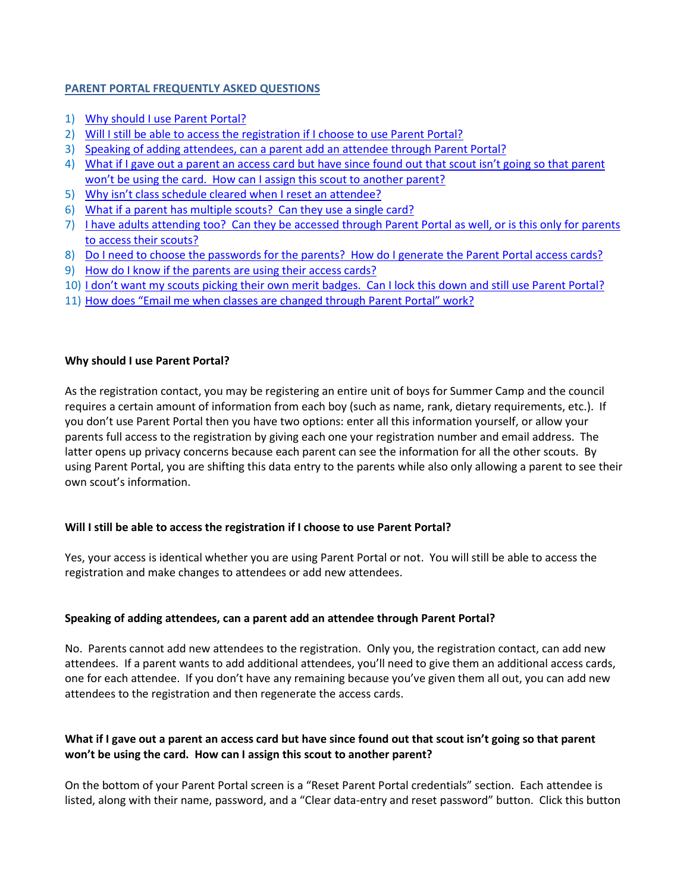## **PARENT PORTAL FREQUENTLY ASKED QUESTIONS**

- 1) [Why should I use Parent Portal?](#page-0-0)
- 2) [Will I still be able to access the registration if I choose to use Parent Portal?](#page-0-1)
- 3) Speaking of adding attendees, can [a parent add an attendee through Parent Portal?](#page-0-2)
- 4) [What if I gave out a parent an access card but have since found out that scout isn't going so that parent](#page-0-3)  [won't be using the card. How can I assign this scout to another parent?](#page-0-3)
- 5) [Why isn't class schedule cleared when I reset an attendee?](#page-1-0)
- 6) [What if a parent has multiple scouts? Can they use a single card?](#page-1-1)
- 7) [I have adults attending too? Can they be accessed through Parent Portal as well, or is this only for parents](#page-1-2)  [to access their scouts?](#page-1-2)
- 8) [Do I need to choose the passwords for the parents? How do I generate the Parent Portal access cards?](#page-1-3)
- 9) [How do I know if the parents are using their access cards?](#page-2-0)
- 10) [I don't want my scouts picking their own merit badges. Can I lock this down and still use Parent Portal?](#page-2-1)
- 11) [How does "Email me when classes are changed through Parent Portal" work?](#page-2-2)

## <span id="page-0-0"></span>**Why should I use Parent Portal?**

As the registration contact, you may be registering an entire unit of boys for Summer Camp and the council requires a certain amount of information from each boy (such as name, rank, dietary requirements, etc.). If you don't use Parent Portal then you have two options: enter all this information yourself, or allow your parents full access to the registration by giving each one your registration number and email address. The latter opens up privacy concerns because each parent can see the information for all the other scouts. By using Parent Portal, you are shifting this data entry to the parents while also only allowing a parent to see their own scout's information.

# <span id="page-0-1"></span>**Will I still be able to access the registration if I choose to use Parent Portal?**

Yes, your access is identical whether you are using Parent Portal or not. You will still be able to access the registration and make changes to attendees or add new attendees.

# <span id="page-0-2"></span>**Speaking of adding attendees, can a parent add an attendee through Parent Portal?**

No. Parents cannot add new attendees to the registration. Only you, the registration contact, can add new attendees. If a parent wants to add additional attendees, you'll need to give them an additional access cards, one for each attendee. If you don't have any remaining because you've given them all out, you can add new attendees to the registration and then regenerate the access cards.

# <span id="page-0-3"></span>**What if I gave out a parent an access card but have since found out that scout isn't going so that parent won't be using the card. How can I assign this scout to another parent?**

On the bottom of your Parent Portal screen is a "Reset Parent Portal credentials" section. Each attendee is listed, along with their name, password, and a "Clear data-entry and reset password" button. Click this button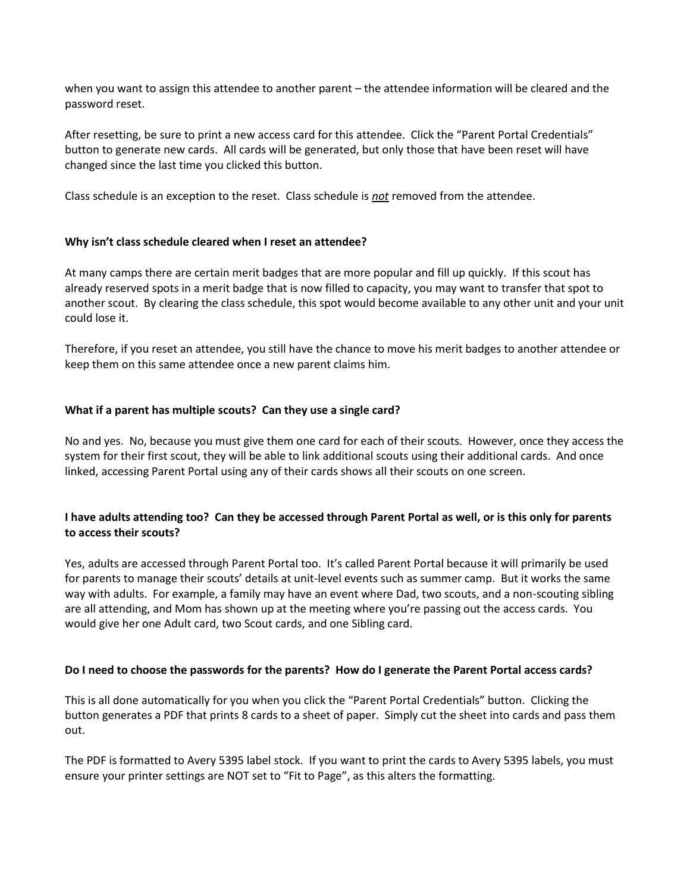when you want to assign this attendee to another parent – the attendee information will be cleared and the password reset.

After resetting, be sure to print a new access card for this attendee. Click the "Parent Portal Credentials" button to generate new cards. All cards will be generated, but only those that have been reset will have changed since the last time you clicked this button.

Class schedule is an exception to the reset. Class schedule is *not* removed from the attendee.

## <span id="page-1-0"></span>**Why isn't class schedule cleared when I reset an attendee?**

At many camps there are certain merit badges that are more popular and fill up quickly. If this scout has already reserved spots in a merit badge that is now filled to capacity, you may want to transfer that spot to another scout. By clearing the class schedule, this spot would become available to any other unit and your unit could lose it.

Therefore, if you reset an attendee, you still have the chance to move his merit badges to another attendee or keep them on this same attendee once a new parent claims him.

### <span id="page-1-1"></span>**What if a parent has multiple scouts? Can they use a single card?**

No and yes. No, because you must give them one card for each of their scouts. However, once they access the system for their first scout, they will be able to link additional scouts using their additional cards. And once linked, accessing Parent Portal using any of their cards shows all their scouts on one screen.

## <span id="page-1-2"></span>**I have adults attending too? Can they be accessed through Parent Portal as well, or is this only for parents to access their scouts?**

Yes, adults are accessed through Parent Portal too. It's called Parent Portal because it will primarily be used for parents to manage their scouts' details at unit-level events such as summer camp. But it works the same way with adults. For example, a family may have an event where Dad, two scouts, and a non-scouting sibling are all attending, and Mom has shown up at the meeting where you're passing out the access cards. You would give her one Adult card, two Scout cards, and one Sibling card.

#### <span id="page-1-3"></span>**Do I need to choose the passwords for the parents? How do I generate the Parent Portal access cards?**

This is all done automatically for you when you click the "Parent Portal Credentials" button. Clicking the button generates a PDF that prints 8 cards to a sheet of paper. Simply cut the sheet into cards and pass them out.

The PDF is formatted to Avery 5395 label stock. If you want to print the cards to Avery 5395 labels, you must ensure your printer settings are NOT set to "Fit to Page", as this alters the formatting.